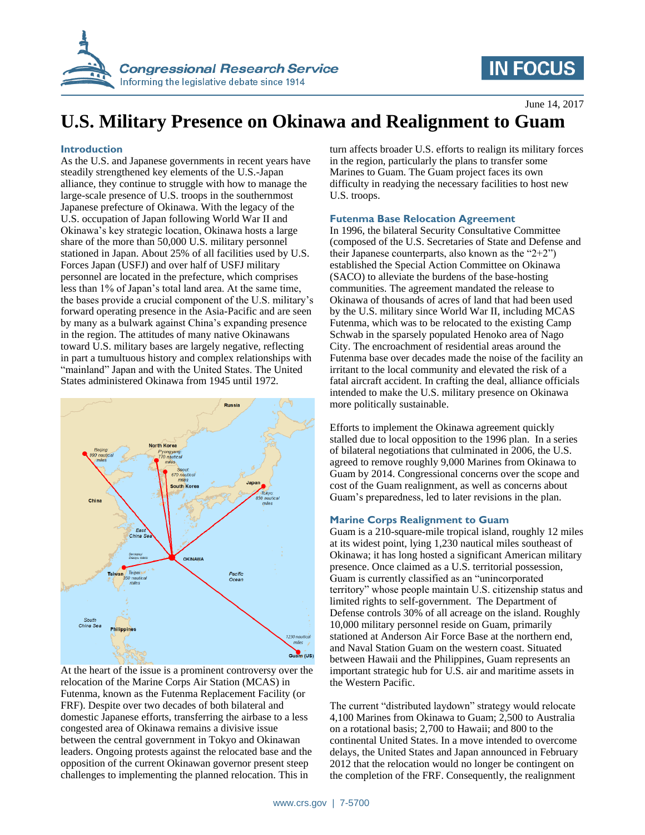

# **IN FOCUS**

June 14, 2017

# **U.S. Military Presence on Okinawa and Realignment to Guam**

### **Introduction**

As the U.S. and Japanese governments in recent years have steadily strengthened key elements of the U.S.-Japan alliance, they continue to struggle with how to manage the large-scale presence of U.S. troops in the southernmost Japanese prefecture of Okinawa. With the legacy of the U.S. occupation of Japan following World War II and Okinawa's key strategic location, Okinawa hosts a large share of the more than 50,000 U.S. military personnel stationed in Japan. About 25% of all facilities used by U.S. Forces Japan (USFJ) and over half of USFJ military personnel are located in the prefecture, which comprises less than 1% of Japan's total land area. At the same time, the bases provide a crucial component of the U.S. military's forward operating presence in the Asia-Pacific and are seen by many as a bulwark against China's expanding presence in the region. The attitudes of many native Okinawans toward U.S. military bases are largely negative, reflecting in part a tumultuous history and complex relationships with "mainland" Japan and with the United States. The United States administered Okinawa from 1945 until 1972.



At the heart of the issue is a prominent controversy over the relocation of the Marine Corps Air Station (MCAS) in Futenma, known as the Futenma Replacement Facility (or FRF). Despite over two decades of both bilateral and domestic Japanese efforts, transferring the airbase to a less congested area of Okinawa remains a divisive issue between the central government in Tokyo and Okinawan leaders. Ongoing protests against the relocated base and the opposition of the current Okinawan governor present steep challenges to implementing the planned relocation. This in

turn affects broader U.S. efforts to realign its military forces in the region, particularly the plans to transfer some Marines to Guam. The Guam project faces its own difficulty in readying the necessary facilities to host new U.S. troops.

#### **Futenma Base Relocation Agreement**

In 1996, the bilateral Security Consultative Committee (composed of the U.S. Secretaries of State and Defense and their Japanese counterparts, also known as the " $2+2$ ") established the Special Action Committee on Okinawa (SACO) to alleviate the burdens of the base-hosting communities. The agreement mandated the release to Okinawa of thousands of acres of land that had been used by the U.S. military since World War II, including MCAS Futenma, which was to be relocated to the existing Camp Schwab in the sparsely populated Henoko area of Nago City. The encroachment of residential areas around the Futenma base over decades made the noise of the facility an irritant to the local community and elevated the risk of a fatal aircraft accident. In crafting the deal, alliance officials intended to make the U.S. military presence on Okinawa more politically sustainable.

Efforts to implement the Okinawa agreement quickly stalled due to local opposition to the 1996 plan. In a series of bilateral negotiations that culminated in 2006, the U.S. agreed to remove roughly 9,000 Marines from Okinawa to Guam by 2014. Congressional concerns over the scope and cost of the Guam realignment, as well as concerns about Guam's preparedness, led to later revisions in the plan.

#### **Marine Corps Realignment to Guam**

Guam is a 210-square-mile tropical island, roughly 12 miles at its widest point, lying 1,230 nautical miles southeast of Okinawa; it has long hosted a significant American military presence. Once claimed as a U.S. territorial possession, Guam is currently classified as an "unincorporated territory" whose people maintain U.S. citizenship status and limited rights to self-government. The Department of Defense controls 30% of all acreage on the island. Roughly 10,000 military personnel reside on Guam, primarily stationed at Anderson Air Force Base at the northern end, and Naval Station Guam on the western coast. Situated between Hawaii and the Philippines, Guam represents an important strategic hub for U.S. air and maritime assets in the Western Pacific.

The current "distributed laydown" strategy would relocate 4,100 Marines from Okinawa to Guam; 2,500 to Australia on a rotational basis; 2,700 to Hawaii; and 800 to the continental United States. In a move intended to overcome delays, the United States and Japan announced in February 2012 that the relocation would no longer be contingent on the completion of the FRF. Consequently, the realignment